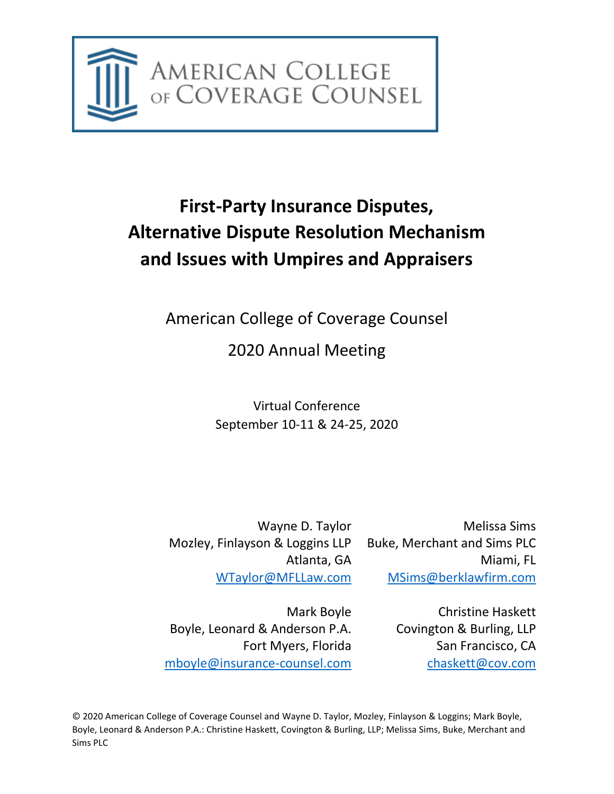

# **First-Party Insurance Disputes, Alternative Dispute Resolution Mechanism and Issues with Umpires and Appraisers**

American College of Coverage Counsel

2020 Annual Meeting

Virtual Conference September 10-11 & 24-25, 2020

Wayne D. Taylor Mozley, Finlayson & Loggins LLP Atlanta, GA [WTaylor@MFLLaw.com](mailto:WTaylor@MFLLaw.com)

Melissa Sims Buke, Merchant and Sims PLC Miami, FL [MSims@berklawfirm.com](mailto:MSims@berklawfirm.com)

Mark Boyle Boyle, Leonard & Anderson P.A. Fort Myers, Florida [mboyle@insurance-counsel.com](mailto:mboyle@insurance-counsel.com)

Christine Haskett Covington & Burling, LLP San Francisco, CA [chaskett@cov.com](mailto:chaskett@cov.com)

© 2020 American College of Coverage Counsel and Wayne D. Taylor, Mozley, Finlayson & Loggins; Mark Boyle, Boyle, Leonard & Anderson P.A.: Christine Haskett, Covington & Burling, LLP; Melissa Sims, Buke, Merchant and Sims PLC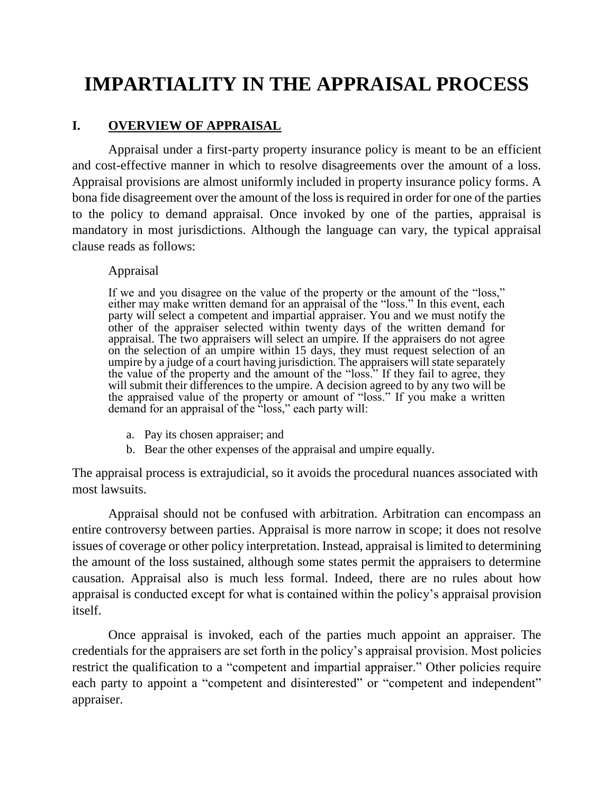# **IMPARTIALITY IN THE APPRAISAL PROCESS**

# **I. OVERVIEW OF APPRAISAL**

Appraisal under a first-party property insurance policy is meant to be an efficient and cost-effective manner in which to resolve disagreements over the amount of a loss. Appraisal provisions are almost uniformly included in property insurance policy forms. A bona fide disagreement over the amount of the loss is required in order for one of the parties to the policy to demand appraisal. Once invoked by one of the parties, appraisal is mandatory in most jurisdictions. Although the language can vary, the typical appraisal clause reads as follows:

#### Appraisal

If we and you disagree on the value of the property or the amount of the "loss," either may make written demand for an appraisal of the "loss." In this event, each party will select a competent and impartial appraiser. You and we must notify the other of the appraiser selected within twenty days of the written demand for appraisal. The two appraisers will select an umpire. If the appraisers do not agree on the selection of an umpire within 15 days, they must request selection of an umpire by a judge of a court having jurisdiction. The appraisers will state separately the value of the property and the amount of the "loss." If they fail to agree, they will submit their differences to the umpire. A decision agreed to by any two will be the appraised value of the property or amount of "loss." If you make a written demand for an appraisal of the "loss," each party will:

- a. Pay its chosen appraiser; and
- b. Bear the other expenses of the appraisal and umpire equally.

The appraisal process is extrajudicial, so it avoids the procedural nuances associated with most lawsuits.

Appraisal should not be confused with arbitration. Arbitration can encompass an entire controversy between parties. Appraisal is more narrow in scope; it does not resolve issues of coverage or other policy interpretation. Instead, appraisal is limited to determining the amount of the loss sustained, although some states permit the appraisers to determine causation. Appraisal also is much less formal. Indeed, there are no rules about how appraisal is conducted except for what is contained within the policy's appraisal provision itself.

Once appraisal is invoked, each of the parties much appoint an appraiser. The credentials for the appraisers are set forth in the policy's appraisal provision. Most policies restrict the qualification to a "competent and impartial appraiser." Other policies require each party to appoint a "competent and disinterested" or "competent and independent" appraiser.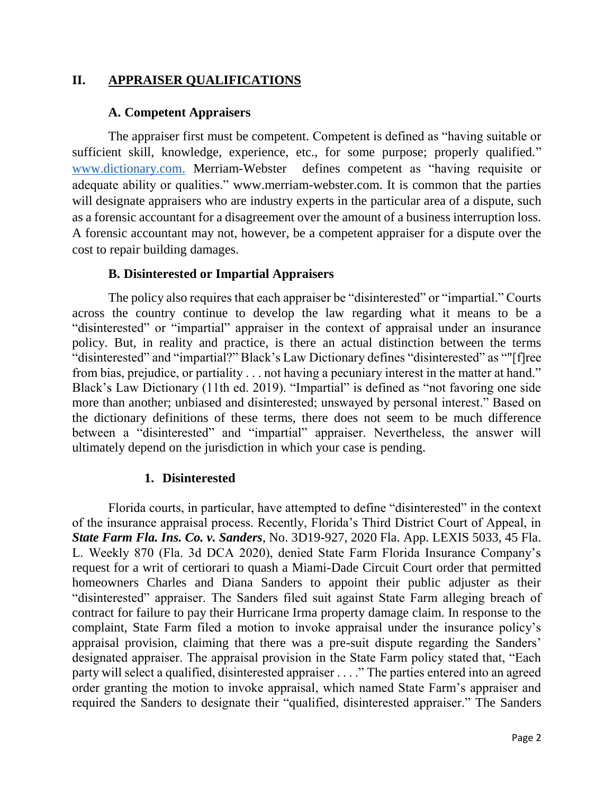## **II. APPRAISER QUALIFICATIONS**

#### **A. Competent Appraisers**

The appraiser first must be competent. Competent is defined as "having suitable or sufficient skill, knowledge, experience, etc., for some purpose; properly qualified." [www.dictionary.com.](http://www.dictionary.com/) Merriam-Webster defines competent as "having requisite or adequate ability or qualities." www.merriam-webster.com. It is common that the parties will designate appraisers who are industry experts in the particular area of a dispute, such as a forensic accountant for a disagreement over the amount of a business interruption loss. A forensic accountant may not, however, be a competent appraiser for a dispute over the cost to repair building damages.

#### **B. Disinterested or Impartial Appraisers**

The policy also requires that each appraiser be "disinterested" or "impartial." Courts across the country continue to develop the law regarding what it means to be a "disinterested" or "impartial" appraiser in the context of appraisal under an insurance policy. But, in reality and practice, is there an actual distinction between the terms "disinterested" and "impartial?" Black's Law Dictionary defines "disinterested" as ""[f]ree from bias, prejudice, or partiality . . . not having a pecuniary interest in the matter at hand." Black's Law Dictionary (11th ed. 2019). "Impartial" is defined as "not favoring one side more than another; unbiased and disinterested; unswayed by personal interest." Based on the dictionary definitions of these terms, there does not seem to be much difference between a "disinterested" and "impartial" appraiser. Nevertheless, the answer will ultimately depend on the jurisdiction in which your case is pending.

#### **1. Disinterested**

Florida courts, in particular, have attempted to define "disinterested" in the context of the insurance appraisal process. Recently, Florida's Third District Court of Appeal, in *State Farm Fla. Ins. Co. v. Sanders*, No. 3D19-927, 2020 Fla. App. LEXIS 5033, 45 Fla. L. Weekly 870 (Fla. 3d DCA 2020), denied State Farm Florida Insurance Company's request for a writ of certiorari to quash a Miami-Dade Circuit Court order that permitted homeowners Charles and Diana Sanders to appoint their public adjuster as their "disinterested" appraiser. The Sanders filed suit against State Farm alleging breach of contract for failure to pay their Hurricane Irma property damage claim. In response to the complaint, State Farm filed a motion to invoke appraisal under the insurance policy's appraisal provision, claiming that there was a pre-suit dispute regarding the Sanders' designated appraiser. The appraisal provision in the State Farm policy stated that, "Each party will select a qualified, disinterested appraiser . . . ." The parties entered into an agreed order granting the motion to invoke appraisal, which named State Farm's appraiser and required the Sanders to designate their "qualified, disinterested appraiser." The Sanders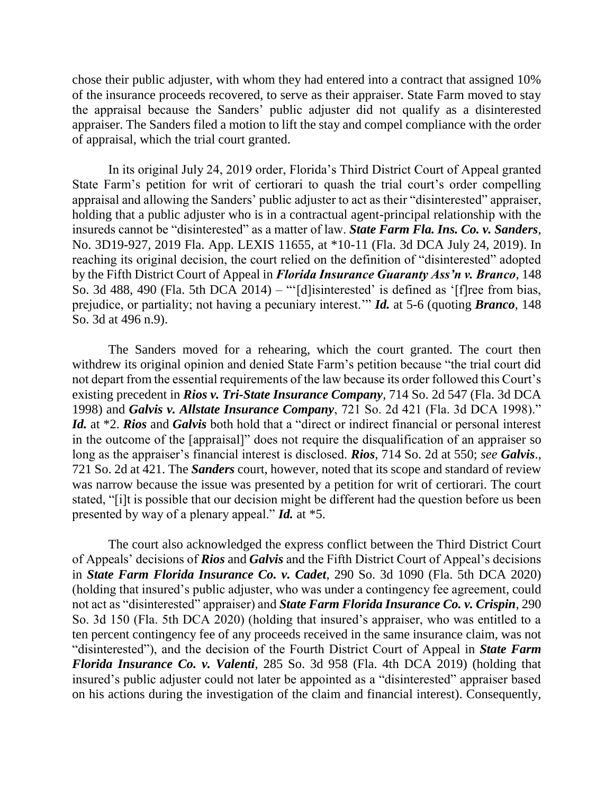chose their public adjuster, with whom they had entered into a contract that assigned 10% of the insurance proceeds recovered, to serve as their appraiser. State Farm moved to stay the appraisal because the Sanders' public adjuster did not qualify as a disinterested appraiser. The Sanders filed a motion to lift the stay and compel compliance with the order of appraisal, which the trial court granted.

In its original July 24, 2019 order, Florida's Third District Court of Appeal granted State Farm's petition for writ of certiorari to quash the trial court's order compelling appraisal and allowing the Sanders' public adjuster to act as their "disinterested" appraiser, holding that a public adjuster who is in a contractual agent-principal relationship with the insureds cannot be "disinterested" as a matter of law. *State Farm Fla. Ins. Co. v. Sanders*, No. 3D19-927, 2019 Fla. App. LEXIS 11655, at \*10-11 (Fla. 3d DCA July 24, 2019). In reaching its original decision, the court relied on the definition of "disinterested" adopted by the Fifth District Court of Appeal in *Florida Insurance Guaranty Ass'n v. Branco*, 148 So. 3d 488, 490 (Fla. 5th DCA 2014) – "'[d]isinterested' is defined as '[f]ree from bias, prejudice, or partiality; not having a pecuniary interest.'" *Id.* at 5-6 (quoting *Branco*, 148 So. 3d at 496 n.9).

The Sanders moved for a rehearing, which the court granted. The court then withdrew its original opinion and denied State Farm's petition because "the trial court did not depart from the essential requirements of the law because its order followed this Court's existing precedent in *Rios v. Tri-State Insurance Company*, 714 So. 2d 547 (Fla. 3d DCA 1998) and *Galvis v. Allstate Insurance Company*, 721 So. 2d 421 (Fla. 3d DCA 1998)." *Id.* at \*2. *Rios* and *Galvis* both hold that a "direct or indirect financial or personal interest in the outcome of the [appraisal]" does not require the disqualification of an appraiser so long as the appraiser's financial interest is disclosed. *Rios*, 714 So. 2d at 550; *see Galvis*., 721 So. 2d at 421. The *Sanders* court, however, noted that its scope and standard of review was narrow because the issue was presented by a petition for writ of certiorari. The court stated, "[i]t is possible that our decision might be different had the question before us been presented by way of a plenary appeal." *Id.* at \*5.

The court also acknowledged the express conflict between the Third District Court of Appeals' decisions of *Rios* and *Galvis* and the Fifth District Court of Appeal's decisions in *State Farm Florida Insurance Co. v. Cadet*, 290 So. 3d 1090 (Fla. 5th DCA 2020) (holding that insured's public adjuster, who was under a contingency fee agreement, could not act as "disinterested" appraiser) and *State Farm Florida Insurance Co. v. Crispin*, 290 So. 3d 150 (Fla. 5th DCA 2020) (holding that insured's appraiser, who was entitled to a ten percent contingency fee of any proceeds received in the same insurance claim, was not "disinterested"), and the decision of the Fourth District Court of Appeal in *State Farm Florida Insurance Co. v. Valenti*, 285 So. 3d 958 (Fla. 4th DCA 2019) (holding that insured's public adjuster could not later be appointed as a "disinterested" appraiser based on his actions during the investigation of the claim and financial interest). Consequently,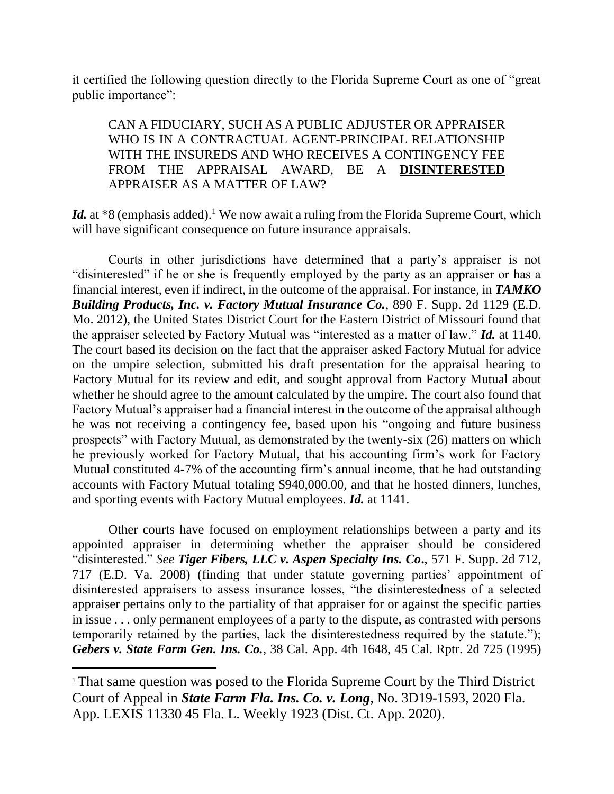it certified the following question directly to the Florida Supreme Court as one of "great public importance":

CAN A FIDUCIARY, SUCH AS A PUBLIC ADJUSTER OR APPRAISER WHO IS IN A CONTRACTUAL AGENT-PRINCIPAL RELATIONSHIP WITH THE INSUREDS AND WHO RECEIVES A CONTINGENCY FEE FROM THE APPRAISAL AWARD, BE A **DISINTERESTED** APPRAISER AS A MATTER OF LAW?

*Id.* at \*8 (emphasis added).<sup>1</sup> We now await a ruling from the Florida Supreme Court, which will have significant consequence on future insurance appraisals.

Courts in other jurisdictions have determined that a party's appraiser is not "disinterested" if he or she is frequently employed by the party as an appraiser or has a financial interest, even if indirect, in the outcome of the appraisal. For instance, in *TAMKO Building Products, Inc. v. Factory Mutual Insurance Co.*, 890 F. Supp. 2d 1129 (E.D. Mo. 2012), the United States District Court for the Eastern District of Missouri found that the appraiser selected by Factory Mutual was "interested as a matter of law." *Id.* at 1140. The court based its decision on the fact that the appraiser asked Factory Mutual for advice on the umpire selection, submitted his draft presentation for the appraisal hearing to Factory Mutual for its review and edit, and sought approval from Factory Mutual about whether he should agree to the amount calculated by the umpire. The court also found that Factory Mutual's appraiser had a financial interest in the outcome of the appraisal although he was not receiving a contingency fee, based upon his "ongoing and future business prospects" with Factory Mutual, as demonstrated by the twenty-six (26) matters on which he previously worked for Factory Mutual, that his accounting firm's work for Factory Mutual constituted 4-7% of the accounting firm's annual income, that he had outstanding accounts with Factory Mutual totaling \$940,000.00, and that he hosted dinners, lunches, and sporting events with Factory Mutual employees. *Id.* at 1141.

Other courts have focused on employment relationships between a party and its appointed appraiser in determining whether the appraiser should be considered "disinterested." *See Tiger Fibers, LLC v. Aspen Specialty Ins. Co***.**, 571 F. Supp. 2d 712, 717 (E.D. Va. 2008) (finding that under statute governing parties' appointment of disinterested appraisers to assess insurance losses, "the disinterestedness of a selected appraiser pertains only to the partiality of that appraiser for or against the specific parties in issue . . . only permanent employees of a party to the dispute, as contrasted with persons temporarily retained by the parties, lack the disinterestedness required by the statute."); *Gebers v. State Farm Gen. Ins. Co.*, 38 Cal. App. 4th 1648, 45 Cal. Rptr. 2d 725 (1995)

 $\overline{\phantom{a}}$ 

<sup>1</sup> That same question was posed to the Florida Supreme Court by the Third District Court of Appeal in *State Farm Fla. Ins. Co. v. Long*, No. 3D19-1593, 2020 Fla. App. LEXIS 11330 45 Fla. L. Weekly 1923 (Dist. Ct. App. 2020).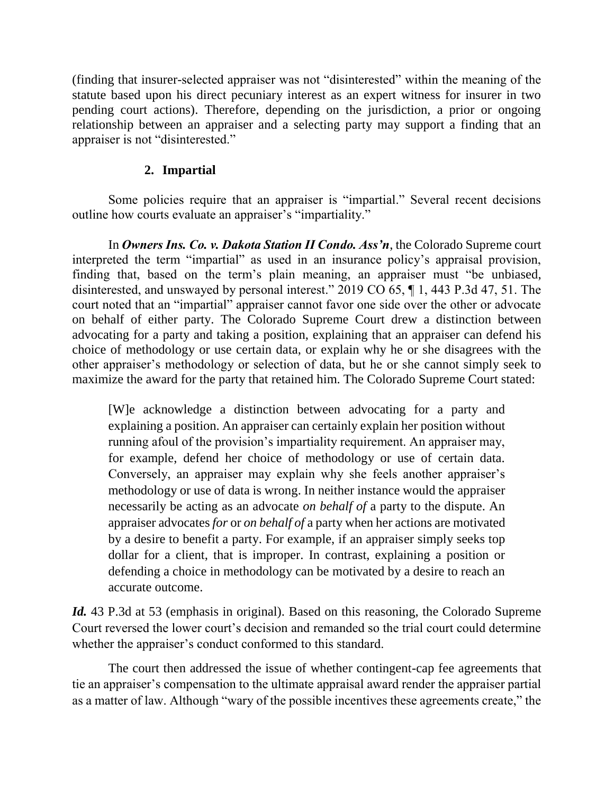(finding that insurer-selected appraiser was not "disinterested" within the meaning of the statute based upon his direct pecuniary interest as an expert witness for insurer in two pending court actions). Therefore, depending on the jurisdiction, a prior or ongoing relationship between an appraiser and a selecting party may support a finding that an appraiser is not "disinterested."

## **2. Impartial**

Some policies require that an appraiser is "impartial." Several recent decisions outline how courts evaluate an appraiser's "impartiality."

In *Owners Ins. Co. v. Dakota Station II Condo. Ass'n*, the Colorado Supreme court interpreted the term "impartial" as used in an insurance policy's appraisal provision, finding that, based on the term's plain meaning, an appraiser must "be unbiased, disinterested, and unswayed by personal interest." 2019 CO 65, ¶ 1, 443 P.3d 47, 51. The court noted that an "impartial" appraiser cannot favor one side over the other or advocate on behalf of either party. The Colorado Supreme Court drew a distinction between advocating for a party and taking a position, explaining that an appraiser can defend his choice of methodology or use certain data, or explain why he or she disagrees with the other appraiser's methodology or selection of data, but he or she cannot simply seek to maximize the award for the party that retained him. The Colorado Supreme Court stated:

[W]e acknowledge a distinction between advocating for a party and explaining a position. An appraiser can certainly explain her position without running afoul of the provision's impartiality requirement. An appraiser may, for example, defend her choice of methodology or use of certain data. Conversely, an appraiser may explain why she feels another appraiser's methodology or use of data is wrong. In neither instance would the appraiser necessarily be acting as an advocate *on behalf of* a party to the dispute. An appraiser advocates *for* or *on behalf of* a party when her actions are motivated by a desire to benefit a party. For example, if an appraiser simply seeks top dollar for a client, that is improper. In contrast, explaining a position or defending a choice in methodology can be motivated by a desire to reach an accurate outcome.

Id. 43 P.3d at 53 (emphasis in original). Based on this reasoning, the Colorado Supreme Court reversed the lower court's decision and remanded so the trial court could determine whether the appraiser's conduct conformed to this standard.

The court then addressed the issue of whether contingent-cap fee agreements that tie an appraiser's compensation to the ultimate appraisal award render the appraiser partial as a matter of law. Although "wary of the possible incentives these agreements create," the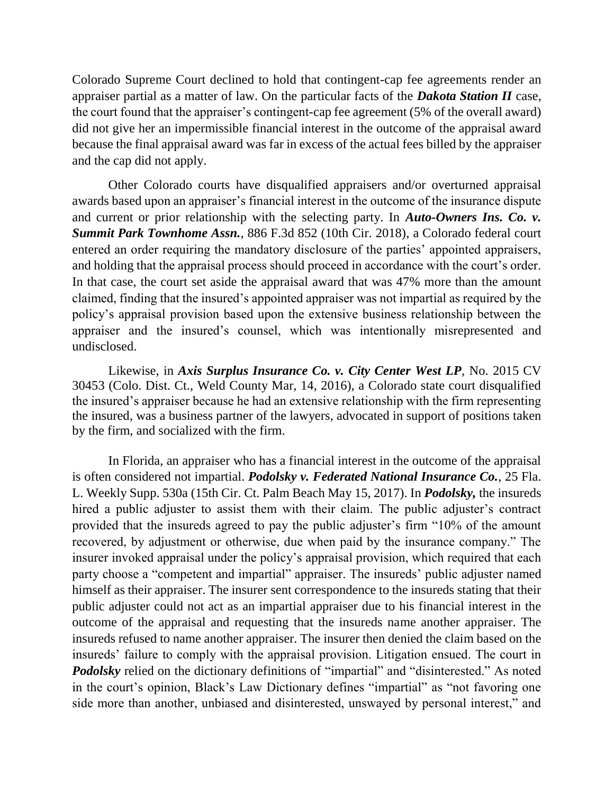Colorado Supreme Court declined to hold that contingent-cap fee agreements render an appraiser partial as a matter of law. On the particular facts of the *Dakota Station II* case, the court found that the appraiser's contingent-cap fee agreement (5% of the overall award) did not give her an impermissible financial interest in the outcome of the appraisal award because the final appraisal award was far in excess of the actual fees billed by the appraiser and the cap did not apply.

Other Colorado courts have disqualified appraisers and/or overturned appraisal awards based upon an appraiser's financial interest in the outcome of the insurance dispute and current or prior relationship with the selecting party. In *Auto-Owners Ins. Co. v. Summit Park Townhome Assn.*, 886 F.3d 852 (10th Cir. 2018), a Colorado federal court entered an order requiring the mandatory disclosure of the parties' appointed appraisers, and holding that the appraisal process should proceed in accordance with the court's order. In that case, the court set aside the appraisal award that was 47% more than the amount claimed, finding that the insured's appointed appraiser was not impartial as required by the policy's appraisal provision based upon the extensive business relationship between the appraiser and the insured's counsel, which was intentionally misrepresented and undisclosed.

Likewise, in *Axis Surplus Insurance Co. v. City Center West LP*, No. 2015 CV 30453 (Colo. Dist. Ct., Weld County Mar, 14, 2016), a Colorado state court disqualified the insured's appraiser because he had an extensive relationship with the firm representing the insured, was a business partner of the lawyers, advocated in support of positions taken by the firm, and socialized with the firm.

In Florida, an appraiser who has a financial interest in the outcome of the appraisal is often considered not impartial. *Podolsky v. Federated National Insurance Co.*, 25 Fla. L. Weekly Supp. 530a (15th Cir. Ct. Palm Beach May 15, 2017). In *Podolsky,* the insureds hired a public adjuster to assist them with their claim. The public adjuster's contract provided that the insureds agreed to pay the public adjuster's firm "10% of the amount recovered, by adjustment or otherwise, due when paid by the insurance company." The insurer invoked appraisal under the policy's appraisal provision, which required that each party choose a "competent and impartial" appraiser. The insureds' public adjuster named himself as their appraiser. The insurer sent correspondence to the insureds stating that their public adjuster could not act as an impartial appraiser due to his financial interest in the outcome of the appraisal and requesting that the insureds name another appraiser. The insureds refused to name another appraiser. The insurer then denied the claim based on the insureds' failure to comply with the appraisal provision. Litigation ensued. The court in *Podolsky* relied on the dictionary definitions of "impartial" and "disinterested." As noted in the court's opinion, Black's Law Dictionary defines "impartial" as "not favoring one side more than another, unbiased and disinterested, unswayed by personal interest," and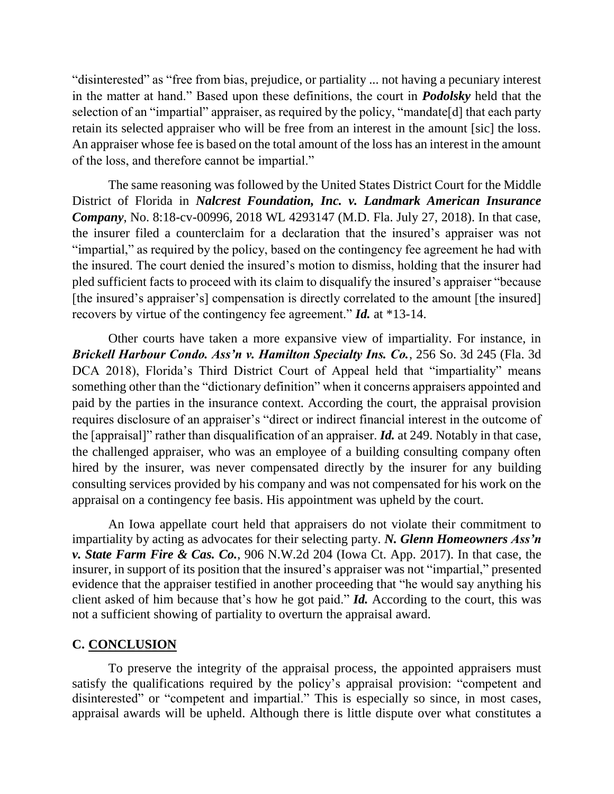"disinterested" as "free from bias, prejudice, or partiality ... not having a pecuniary interest in the matter at hand." Based upon these definitions, the court in *Podolsky* held that the selection of an "impartial" appraiser, as required by the policy, "mandate<sup>[d]</sup> that each party retain its selected appraiser who will be free from an interest in the amount [sic] the loss. An appraiser whose fee is based on the total amount of the loss has an interest in the amount of the loss, and therefore cannot be impartial."

The same reasoning was followed by the United States District Court for the Middle District of Florida in *Nalcrest Foundation, Inc. v. Landmark American Insurance Company*, No. 8:18-cv-00996, 2018 WL 4293147 (M.D. Fla. July 27, 2018). In that case, the insurer filed a counterclaim for a declaration that the insured's appraiser was not "impartial," as required by the policy, based on the contingency fee agreement he had with the insured. The court denied the insured's motion to dismiss, holding that the insurer had pled sufficient facts to proceed with its claim to disqualify the insured's appraiser "because [the insured's appraiser's] compensation is directly correlated to the amount [the insured] recovers by virtue of the contingency fee agreement." *Id.* at \*13-14.

Other courts have taken a more expansive view of impartiality. For instance, in *Brickell Harbour Condo. Ass'n v. Hamilton Specialty Ins. Co.*, 256 So. 3d 245 (Fla. 3d DCA 2018), Florida's Third District Court of Appeal held that "impartiality" means something other than the "dictionary definition" when it concerns appraisers appointed and paid by the parties in the insurance context. According the court, the appraisal provision requires disclosure of an appraiser's "direct or indirect financial interest in the outcome of the [appraisal]" rather than disqualification of an appraiser. *Id.* at 249. Notably in that case, the challenged appraiser, who was an employee of a building consulting company often hired by the insurer, was never compensated directly by the insurer for any building consulting services provided by his company and was not compensated for his work on the appraisal on a contingency fee basis. His appointment was upheld by the court.

An Iowa appellate court held that appraisers do not violate their commitment to impartiality by acting as advocates for their selecting party. *N. Glenn Homeowners Ass'n v. State Farm Fire & Cas. Co.*, 906 N.W.2d 204 (Iowa Ct. App. 2017). In that case, the insurer, in support of its position that the insured's appraiser was not "impartial," presented evidence that the appraiser testified in another proceeding that "he would say anything his client asked of him because that's how he got paid." *Id.* According to the court, this was not a sufficient showing of partiality to overturn the appraisal award.

#### **C. CONCLUSION**

To preserve the integrity of the appraisal process, the appointed appraisers must satisfy the qualifications required by the policy's appraisal provision: "competent and disinterested" or "competent and impartial." This is especially so since, in most cases, appraisal awards will be upheld. Although there is little dispute over what constitutes a